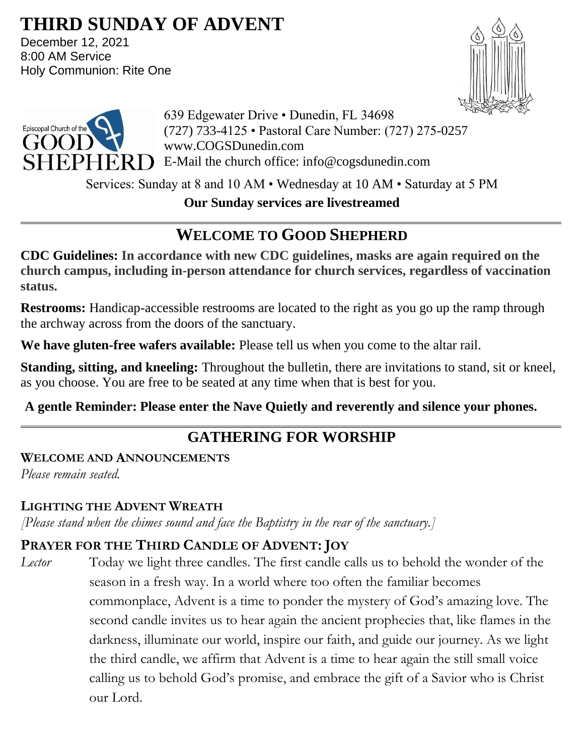# **THIRD SUNDAY OF ADVENT**

December 12, 2021 8:00 AM Service Holy Communion: Rite One





639 Edgewater Drive • Dunedin, FL 34698 (727) 733-4125 • Pastoral Care Number: (727) 275-0257 www.COGSDunedin.com  $HEPHERD$  E-Mail the church office: info@cogsdunedin.com

Services: Sunday at 8 and 10 AM • Wednesday at 10 AM • Saturday at 5 PM

**Our Sunday services are livestreamed**

## **WELCOME TO GOOD SHEPHERD**

**CDC Guidelines: In accordance with new CDC guidelines, masks are again required on the church campus, including in-person attendance for church services, regardless of vaccination status.**

**Restrooms:** Handicap-accessible restrooms are located to the right as you go up the ramp through the archway across from the doors of the sanctuary.

**We have gluten-free wafers available:** Please tell us when you come to the altar rail.

**Standing, sitting, and kneeling:** Throughout the bulletin, there are invitations to stand, sit or kneel, as you choose. You are free to be seated at any time when that is best for you.

## **A gentle Reminder: Please enter the Nave Quietly and reverently and silence your phones.**

## **GATHERING FOR WORSHIP**

## **WELCOME AND ANNOUNCEMENTS**

*Please remain seated.* 

## **LIGHTING THE ADVENT WREATH**

*[Please stand when the chimes sound and face the Baptistry in the rear of the sanctuary.]*

## **PRAYER FOR THE THIRD CANDLE OF ADVENT: JOY**

*Lector* Today we light three candles. The first candle calls us to behold the wonder of the season in a fresh way. In a world where too often the familiar becomes commonplace, Advent is a time to ponder the mystery of God's amazing love. The second candle invites us to hear again the ancient prophecies that, like flames in the darkness, illuminate our world, inspire our faith, and guide our journey. As we light the third candle, we affirm that Advent is a time to hear again the still small voice calling us to behold God's promise, and embrace the gift of a Savior who is Christ our Lord.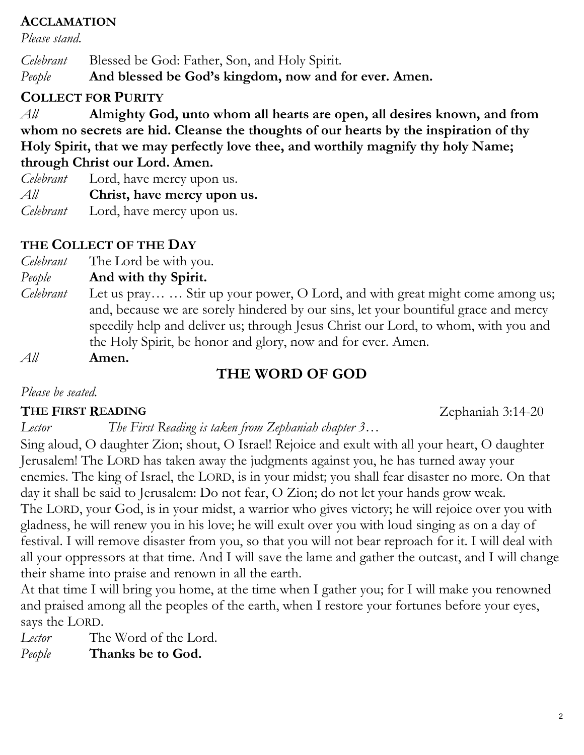#### **ACCLAMATION**

*Please stand.*

*Celebrant* Blessed be God: Father, Son, and Holy Spirit. *People* **And blessed be God's kingdom, now and for ever. Amen.**

## **COLLECT FOR PURITY**

*All* **Almighty God, unto whom all hearts are open, all desires known, and from whom no secrets are hid. Cleanse the thoughts of our hearts by the inspiration of thy Holy Spirit, that we may perfectly love thee, and worthily magnify thy holy Name; through Christ our Lord. Amen.**

*Celebrant* Lord, have mercy upon us. *All* **Christ, have mercy upon us.** *Celebrant* Lord, have mercy upon us.

## **THE COLLECT OF THE DAY**

*Celebrant* The Lord be with you.

*People* **And with thy Spirit.**

- *Celebrant* Let us pray… … Stir up your power, O Lord, and with great might come among us; and, because we are sorely hindered by our sins, let your bountiful grace and mercy speedily help and deliver us; through Jesus Christ our Lord, to whom, with you and the Holy Spirit, be honor and glory, now and for ever. Amen.
- *All* **Amen.**

## **THE WORD OF GOD**

*Please be seated.*

## **THE FIRST READING** Zephaniah 3:14-20

*Lector The First Reading is taken from Zephaniah chapter 3…*

Sing aloud, O daughter Zion; shout, O Israel! Rejoice and exult with all your heart, O daughter Jerusalem! The LORD has taken away the judgments against you, he has turned away your enemies. The king of Israel, the LORD, is in your midst; you shall fear disaster no more. On that day it shall be said to Jerusalem: Do not fear, O Zion; do not let your hands grow weak. The LORD, your God, is in your midst, a warrior who gives victory; he will rejoice over you with gladness, he will renew you in his love; he will exult over you with loud singing as on a day of festival. I will remove disaster from you, so that you will not bear reproach for it. I will deal with all your oppressors at that time. And I will save the lame and gather the outcast, and I will change their shame into praise and renown in all the earth.

At that time I will bring you home, at the time when I gather you; for I will make you renowned and praised among all the peoples of the earth, when I restore your fortunes before your eyes, says the LORD.

*Lector* The Word of the Lord. *People* **Thanks be to God.**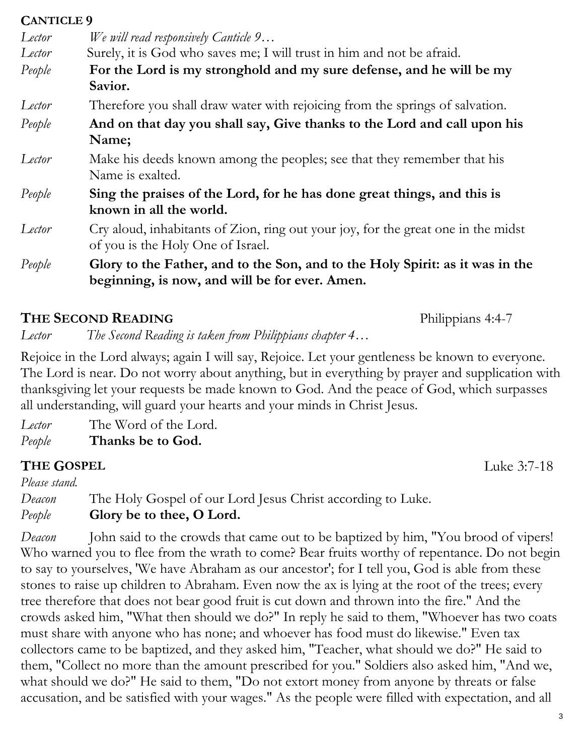#### **CANTICLE 9**

| Lector | We will read responsively Canticle 9                                              |
|--------|-----------------------------------------------------------------------------------|
| Lector | Surely, it is God who saves me; I will trust in him and not be afraid.            |
| People | For the Lord is my stronghold and my sure defense, and he will be my              |
|        | Savior.                                                                           |
| Lector | Therefore you shall draw water with rejoicing from the springs of salvation.      |
| People | And on that day you shall say, Give thanks to the Lord and call upon his          |
|        | Name;                                                                             |
| Lector | Make his deeds known among the peoples; see that they remember that his           |
|        | Name is exalted.                                                                  |
| People | Sing the praises of the Lord, for he has done great things, and this is           |
|        | known in all the world.                                                           |
| Lector | Cry aloud, inhabitants of Zion, ring out your joy, for the great one in the midst |
|        | of you is the Holy One of Israel.                                                 |
| People | Glory to the Father, and to the Son, and to the Holy Spirit: as it was in the     |
|        | beginning, is now, and will be for ever. Amen.                                    |

## **THE SECOND READING** Philippians 4:4-7

*Lector The Second Reading is taken from Philippians chapter 4…*

Rejoice in the Lord always; again I will say, Rejoice. Let your gentleness be known to everyone. The Lord is near. Do not worry about anything, but in everything by prayer and supplication with thanksgiving let your requests be made known to God. And the peace of God, which surpasses all understanding, will guard your hearts and your minds in Christ Jesus.

*Lector* The Word of the Lord. *People* **Thanks be to God.**

## **THE GOSPEL** Luke 3:7-18

*Please stand.*

*Deacon* The Holy Gospel of our Lord Jesus Christ according to Luke. *People* **Glory be to thee, O Lord.** 

*Deacon* John said to the crowds that came out to be baptized by him, "You brood of vipers! Who warned you to flee from the wrath to come? Bear fruits worthy of repentance. Do not begin to say to yourselves, 'We have Abraham as our ancestor'; for I tell you, God is able from these stones to raise up children to Abraham. Even now the ax is lying at the root of the trees; every tree therefore that does not bear good fruit is cut down and thrown into the fire." And the crowds asked him, "What then should we do?" In reply he said to them, "Whoever has two coats must share with anyone who has none; and whoever has food must do likewise." Even tax collectors came to be baptized, and they asked him, "Teacher, what should we do?" He said to them, "Collect no more than the amount prescribed for you." Soldiers also asked him, "And we, what should we do?" He said to them, "Do not extort money from anyone by threats or false accusation, and be satisfied with your wages." As the people were filled with expectation, and all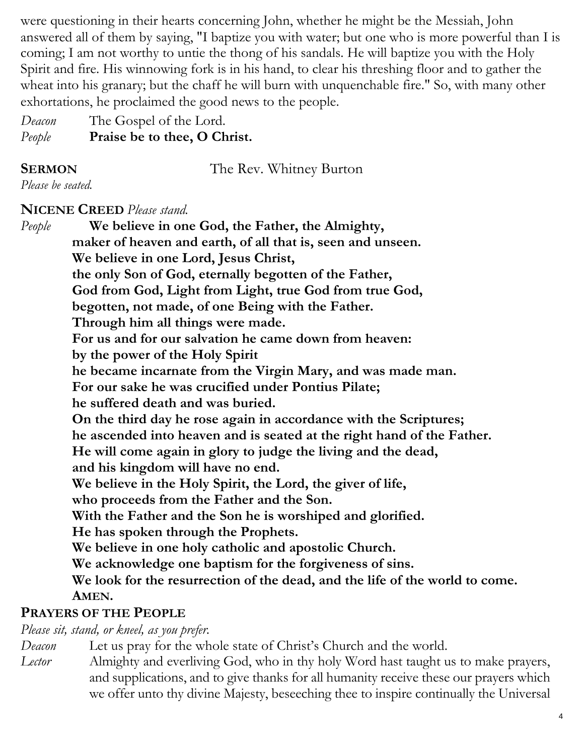were questioning in their hearts concerning John, whether he might be the Messiah, John answered all of them by saying, "I baptize you with water; but one who is more powerful than I is coming; I am not worthy to untie the thong of his sandals. He will baptize you with the Holy Spirit and fire. His winnowing fork is in his hand, to clear his threshing floor and to gather the wheat into his granary; but the chaff he will burn with unquenchable fire." So, with many other exhortations, he proclaimed the good news to the people.

*Deacon* The Gospel of the Lord. *People* **Praise be to thee, O Christ.**

**SERMON** The Rev. Whitney Burton

*Please be seated.*

#### **NICENE CREED** *Please stand.*

*People* **We believe in one God, the Father, the Almighty, maker of heaven and earth, of all that is, seen and unseen. We believe in one Lord, Jesus Christ, the only Son of God, eternally begotten of the Father, God from God, Light from Light, true God from true God, begotten, not made, of one Being with the Father. Through him all things were made. For us and for our salvation he came down from heaven: by the power of the Holy Spirit he became incarnate from the Virgin Mary, and was made man. For our sake he was crucified under Pontius Pilate; he suffered death and was buried. On the third day he rose again in accordance with the Scriptures; he ascended into heaven and is seated at the right hand of the Father. He will come again in glory to judge the living and the dead, and his kingdom will have no end. We believe in the Holy Spirit, the Lord, the giver of life, who proceeds from the Father and the Son. With the Father and the Son he is worshiped and glorified. He has spoken through the Prophets. We believe in one holy catholic and apostolic Church. We acknowledge one baptism for the forgiveness of sins. We look for the resurrection of the dead, and the life of the world to come. AMEN. PRAYERS OF THE PEOPLE** 

*Please sit, stand, or kneel, as you prefer.*

*Deacon* Let us pray for the whole state of Christ's Church and the world.

*Lector* Almighty and everliving God, who in thy holy Word hast taught us to make prayers, and supplications, and to give thanks for all humanity receive these our prayers which we offer unto thy divine Majesty, beseeching thee to inspire continually the Universal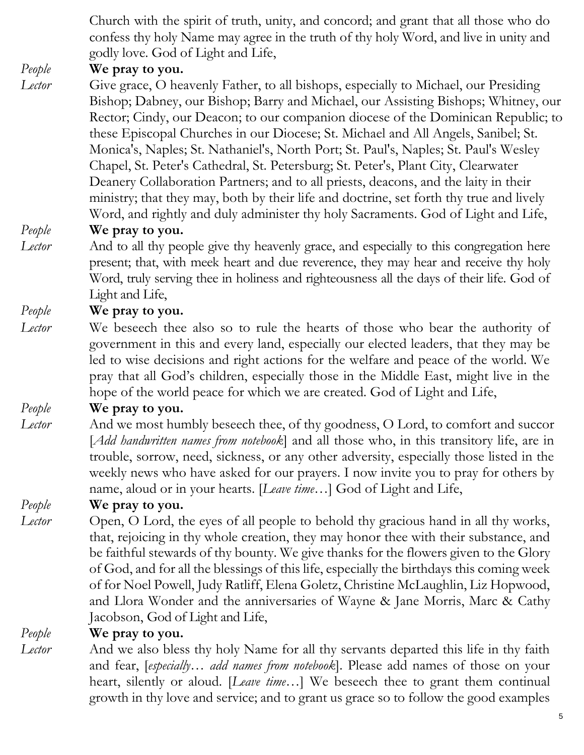Church with the spirit of truth, unity, and concord; and grant that all those who do confess thy holy Name may agree in the truth of thy holy Word, and live in unity and godly love. God of Light and Life,

### *People* **We pray to you.**

*Lector* Give grace, O heavenly Father, to all bishops, especially to Michael, our Presiding Bishop; Dabney, our Bishop; Barry and Michael, our Assisting Bishops; Whitney, our Rector; Cindy, our Deacon; to our companion diocese of the Dominican Republic; to these Episcopal Churches in our Diocese; St. Michael and All Angels, Sanibel; St. Monica's, Naples; St. Nathaniel's, North Port; St. Paul's, Naples; St. Paul's Wesley Chapel, St. Peter's Cathedral, St. Petersburg; St. Peter's, Plant City, Clearwater Deanery Collaboration Partners; and to all priests, deacons, and the laity in their ministry; that they may, both by their life and doctrine, set forth thy true and lively Word, and rightly and duly administer thy holy Sacraments. God of Light and Life,

#### *People* **We pray to you.**

*Lector* And to all thy people give thy heavenly grace, and especially to this congregation here present; that, with meek heart and due reverence, they may hear and receive thy holy Word, truly serving thee in holiness and righteousness all the days of their life. God of Light and Life,

#### *People* **We pray to you.**

*Lector* We beseech thee also so to rule the hearts of those who bear the authority of government in this and every land, especially our elected leaders, that they may be led to wise decisions and right actions for the welfare and peace of the world. We pray that all God's children, especially those in the Middle East, might live in the hope of the world peace for which we are created. God of Light and Life,

#### *People* **We pray to you.**

*Lector* And we most humbly beseech thee, of thy goodness, O Lord, to comfort and succor [*Add handwritten names from notebook*] and all those who, in this transitory life, are in trouble, sorrow, need, sickness, or any other adversity, especially those listed in the weekly news who have asked for our prayers. I now invite you to pray for others by name, aloud or in your hearts. [*Leave time…*] God of Light and Life,

#### *People* **We pray to you.**

*Lector* Open, O Lord, the eyes of all people to behold thy gracious hand in all thy works, that, rejoicing in thy whole creation, they may honor thee with their substance, and be faithful stewards of thy bounty. We give thanks for the flowers given to the Glory of God, and for all the blessings of this life, especially the birthdays this coming week of for Noel Powell, Judy Ratliff, Elena Goletz, Christine McLaughlin, Liz Hopwood, and Llora Wonder and the anniversaries of Wayne & Jane Morris, Marc & Cathy Jacobson, God of Light and Life,

#### *People* **We pray to you.**

*Lector* And we also bless thy holy Name for all thy servants departed this life in thy faith and fear, [*especially… add names from notebook*]. Please add names of those on your heart, silently or aloud. [*Leave time…*] We beseech thee to grant them continual growth in thy love and service; and to grant us grace so to follow the good examples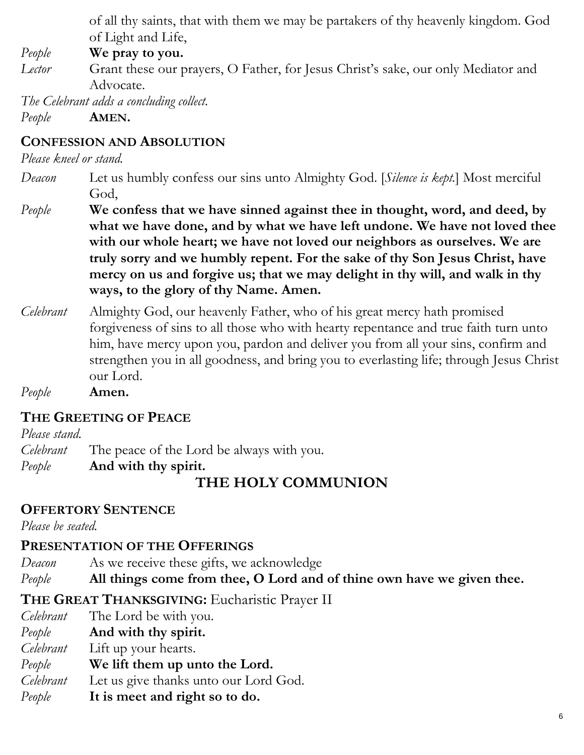of all thy saints, that with them we may be partakers of thy heavenly kingdom. God of Light and Life,

*People* **We pray to you.**

*Lector* Grant these our prayers, O Father, for Jesus Christ's sake, our only Mediator and Advocate.

*The Celebrant adds a concluding collect. People* **AMEN.**

### **CONFESSION AND ABSOLUTION**

*Please kneel or stand.*

- *Deacon* Let us humbly confess our sins unto Almighty God. [*Silence is kept.*] Most merciful God,
- *People* **We confess that we have sinned against thee in thought, word, and deed, by what we have done, and by what we have left undone. We have not loved thee with our whole heart; we have not loved our neighbors as ourselves. We are truly sorry and we humbly repent. For the sake of thy Son Jesus Christ, have mercy on us and forgive us; that we may delight in thy will, and walk in thy ways, to the glory of thy Name. Amen.**
- *Celebrant* Almighty God, our heavenly Father, who of his great mercy hath promised forgiveness of sins to all those who with hearty repentance and true faith turn unto him, have mercy upon you, pardon and deliver you from all your sins, confirm and strengthen you in all goodness, and bring you to everlasting life; through Jesus Christ our Lord.
- *People* **Amen.**

## **THE GREETING OF PEACE**

*Please stand. Celebrant* The peace of the Lord be always with you. *People* **And with thy spirit.**

## **THE HOLY COMMUNION**

## **OFFERTORY SENTENCE**

*Please be seated.*

#### **PRESENTATION OF THE OFFERINGS**

- *Deacon* As we receive these gifts, we acknowledge
- *People* **All things come from thee, O Lord and of thine own have we given thee.**

#### **THE GREAT THANKSGIVING:** Eucharistic Prayer II

- *Celebrant* The Lord be with you.
- *People* **And with thy spirit.**
- *Celebrant* Lift up your hearts.
- *People* **We lift them up unto the Lord.**
- *Celebrant* Let us give thanks unto our Lord God.
- *People* **It is meet and right so to do.**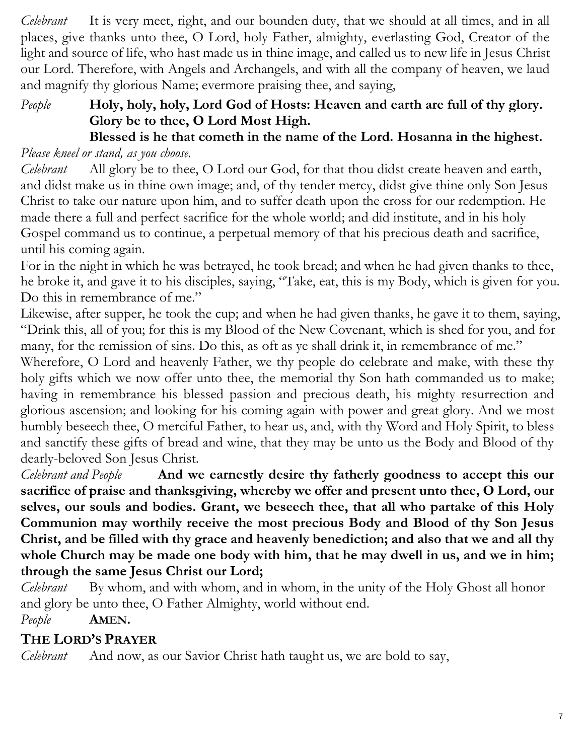*Celebrant* It is very meet, right, and our bounden duty, that we should at all times, and in all places, give thanks unto thee, O Lord, holy Father, almighty, everlasting God, Creator of the light and source of life, who hast made us in thine image, and called us to new life in Jesus Christ our Lord. Therefore, with Angels and Archangels, and with all the company of heaven, we laud and magnify thy glorious Name; evermore praising thee, and saying,

*People* **Holy, holy, holy, Lord God of Hosts: Heaven and earth are full of thy glory. Glory be to thee, O Lord Most High.** 

**Blessed is he that cometh in the name of the Lord. Hosanna in the highest.**

#### *Please kneel or stand, as you choose.*

*Celebrant* All glory be to thee, O Lord our God, for that thou didst create heaven and earth, and didst make us in thine own image; and, of thy tender mercy, didst give thine only Son Jesus Christ to take our nature upon him, and to suffer death upon the cross for our redemption. He made there a full and perfect sacrifice for the whole world; and did institute, and in his holy Gospel command us to continue, a perpetual memory of that his precious death and sacrifice, until his coming again.

For in the night in which he was betrayed, he took bread; and when he had given thanks to thee, he broke it, and gave it to his disciples, saying, "Take, eat, this is my Body, which is given for you. Do this in remembrance of me."

Likewise, after supper, he took the cup; and when he had given thanks, he gave it to them, saying, "Drink this, all of you; for this is my Blood of the New Covenant, which is shed for you, and for many, for the remission of sins. Do this, as oft as ye shall drink it, in remembrance of me."

Wherefore, O Lord and heavenly Father, we thy people do celebrate and make, with these thy holy gifts which we now offer unto thee, the memorial thy Son hath commanded us to make; having in remembrance his blessed passion and precious death, his mighty resurrection and glorious ascension; and looking for his coming again with power and great glory. And we most humbly beseech thee, O merciful Father, to hear us, and, with thy Word and Holy Spirit, to bless and sanctify these gifts of bread and wine, that they may be unto us the Body and Blood of thy dearly-beloved Son Jesus Christ.

*Celebrant and People* **And we earnestly desire thy fatherly goodness to accept this our sacrifice of praise and thanksgiving, whereby we offer and present unto thee, O Lord, our selves, our souls and bodies. Grant, we beseech thee, that all who partake of this Holy Communion may worthily receive the most precious Body and Blood of thy Son Jesus Christ, and be filled with thy grace and heavenly benediction; and also that we and all thy whole Church may be made one body with him, that he may dwell in us, and we in him; through the same Jesus Christ our Lord;** 

*Celebrant* By whom, and with whom, and in whom, in the unity of the Holy Ghost all honor and glory be unto thee, O Father Almighty, world without end.

*People* **AMEN.**

## **THE LORD'S PRAYER**

*Celebrant* And now, as our Savior Christ hath taught us, we are bold to say,